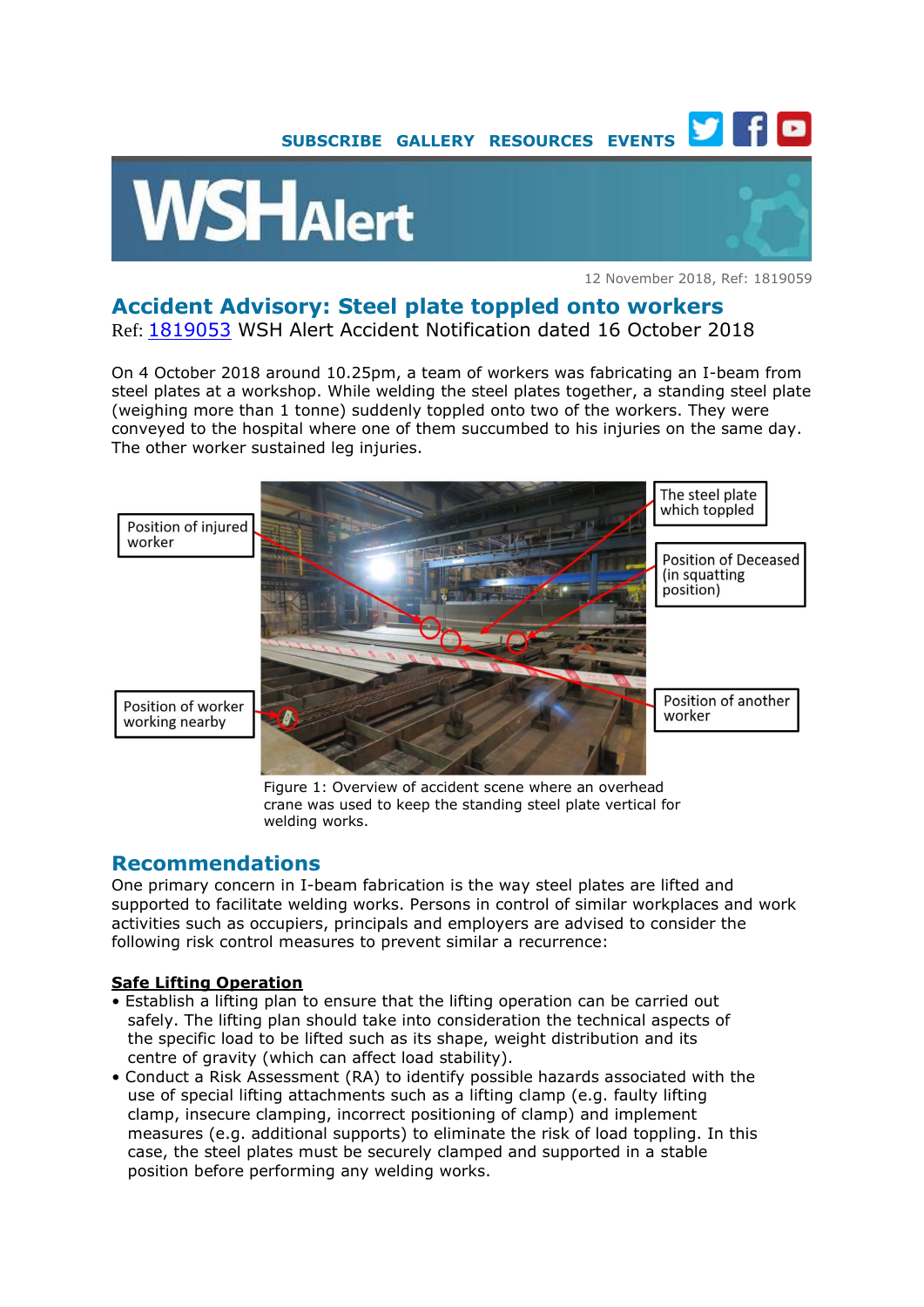



12 November 2018, Ref: 1819059

# **Accident Advisory: Steel plate toppled onto workers**

Ref: [1819053](https://www.wshc.sg/wps/portal/!ut/p/a1/04_Sj9CPykssy0xPLMnMz0vMAfGjzOJ9_E1MjByDDbzdPUIMDRyNfA08QsyNDYPdjYAKIoEKDHAARwNC-sP1o_ApcQ4zhirAY4WXflR6Tn4S2LmRjnlJxhbp-lFFqWmpRalFeqVFQOGMkpKCYitVA1WD8vJyvfLijGS94nQgp6BY1aAgv6gEu9aM_OIS_QgkHfoFuREGWaY5ZT6OiooA8gDZgQ!!/dl5/d5/L2dBISEvZ0FBIS9nQSEh/?action=publicViewBulletin&bulletinID=BU201810160000011159) WSH Alert Accident Notification dated 16 October 2018

On 4 October 2018 around 10.25pm, a team of workers was fabricating an I-beam from steel plates at a workshop. While welding the steel plates together, a standing steel plate (weighing more than 1 tonne) suddenly toppled onto two of the workers. They were conveyed to the hospital where one of them succumbed to his injuries on the same day. The other worker sustained leg injuries.



Figure 1: Overview of accident scene where an overhead crane was used to keep the standing steel plate vertical for welding works.

## **Recommendations**

One primary concern in I-beam fabrication is the way steel plates are lifted and supported to facilitate welding works. Persons in control of similar workplaces and work activities such as occupiers, principals and employers are advised to consider the following risk control measures to prevent similar a recurrence:

#### **Safe Lifting Operation**

- Establish a lifting plan to ensure that the lifting operation can be carried out safely. The lifting plan should take into consideration the technical aspects of the specific load to be lifted such as its shape, weight distribution and its centre of gravity (which can affect load stability).
- Conduct a Risk Assessment (RA) to identify possible hazards associated with the use of special lifting attachments such as a lifting clamp (e.g. faulty lifting clamp, insecure clamping, incorrect positioning of clamp) and implement measures (e.g. additional supports) to eliminate the risk of load toppling. In this case, the steel plates must be securely clamped and supported in a stable position before performing any welding works.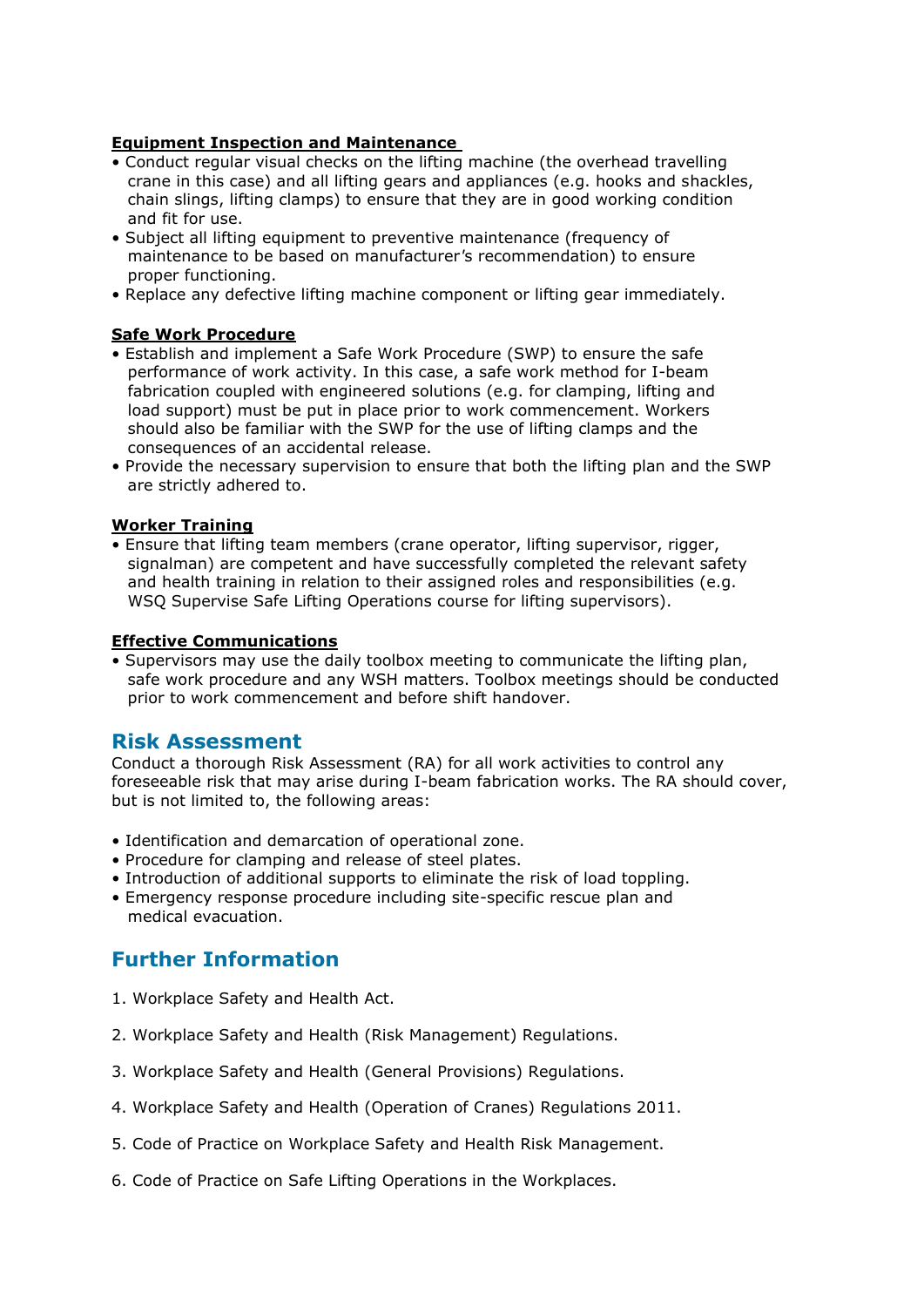#### **Equipment Inspection and Maintenance**

- Conduct regular visual checks on the lifting machine (the overhead travelling crane in this case) and all lifting gears and appliances (e.g. hooks and shackles, chain slings, lifting clamps) to ensure that they are in good working condition and fit for use.
- Subject all lifting equipment to preventive maintenance (frequency of maintenance to be based on manufacturer*'*s recommendation) to ensure proper functioning.
- Replace any defective lifting machine component or lifting gear immediately.

#### **Safe Work Procedure**

- Establish and implement a Safe Work Procedure (SWP) to ensure the safe performance of work activity. In this case, a safe work method for I-beam fabrication coupled with engineered solutions (e.g. for clamping, lifting and load support) must be put in place prior to work commencement. Workers should also be familiar with the SWP for the use of lifting clamps and the consequences of an accidental release.
- Provide the necessary supervision to ensure that both the lifting plan and the SWP are strictly adhered to.

#### **Worker Training**

• Ensure that lifting team members (crane operator, lifting supervisor, rigger, signalman) are competent and have successfully completed the relevant safety and health training in relation to their assigned roles and responsibilities (e.g. WSQ Supervise Safe Lifting Operations course for lifting supervisors).

#### **Effective Communications**

• Supervisors may use the daily toolbox meeting to communicate the lifting plan, safe work procedure and any WSH matters. Toolbox meetings should be conducted prior to work commencement and before shift handover.

### **Risk Assessment**

Conduct a thorough Risk Assessment (RA) for all work activities to control any foreseeable risk that may arise during I-beam fabrication works. The RA should cover, but is not limited to, the following areas:

- Identification and demarcation of operational zone.
- Procedure for clamping and release of steel plates.
- Introduction of additional supports to eliminate the risk of load toppling.
- Emergency response procedure including site-specific rescue plan and medical evacuation.

## **Further Information**

- 1. Workplace Safety and Health Act.
- 2. Workplace Safety and Health (Risk Management) Regulations.
- 3. Workplace Safety and Health (General Provisions) Regulations.
- 4. Workplace Safety and Health (Operation of Cranes) Regulations 2011.
- 5. Code of Practice on Workplace Safety and Health Risk Management.
- 6. Code of Practice on Safe Lifting Operations in the Workplaces.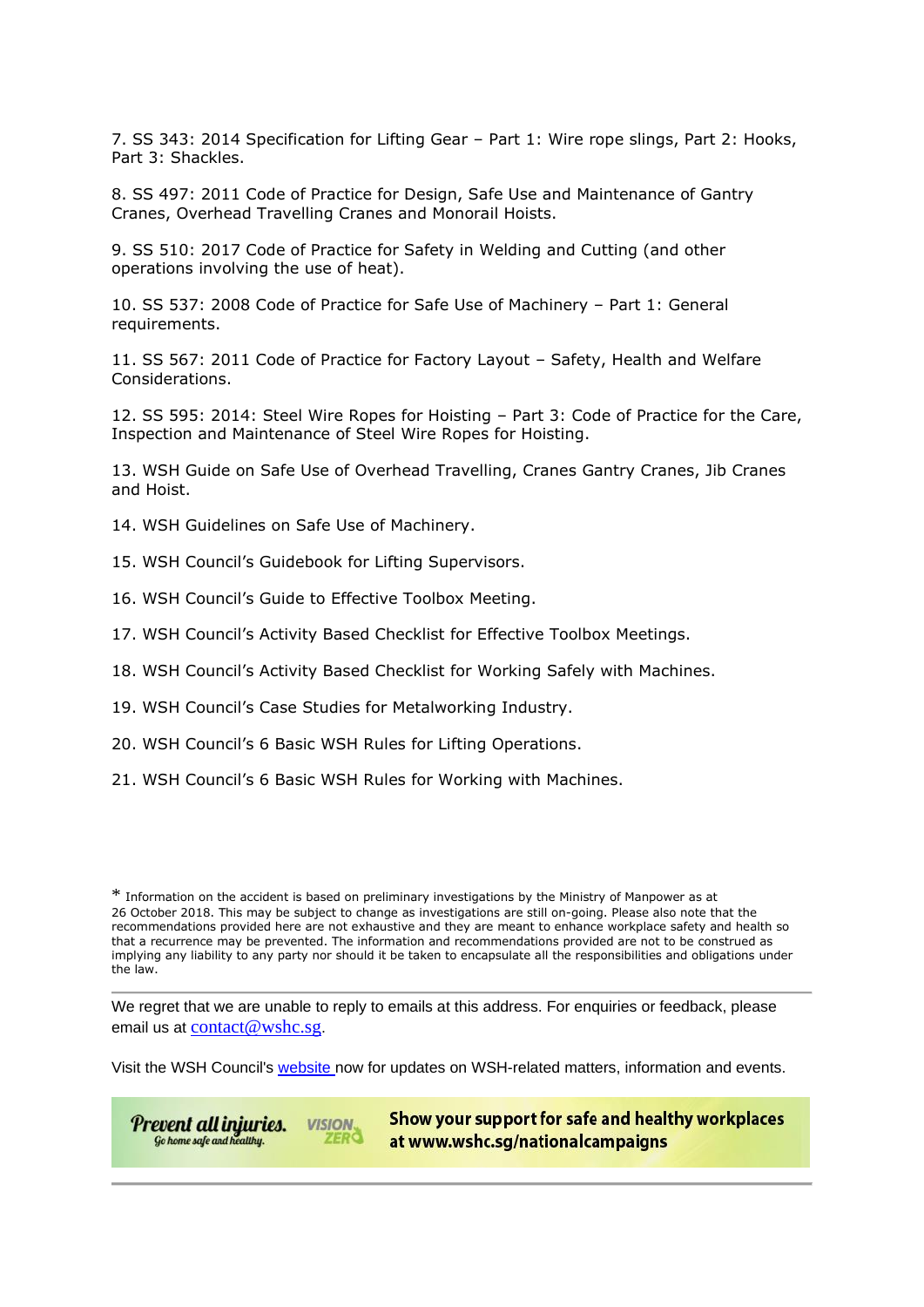7. SS 343: 2014 Specification for Lifting Gear – Part 1: Wire rope slings, Part 2: Hooks, Part 3: Shackles.

8. SS 497: 2011 Code of Practice for Design, Safe Use and Maintenance of Gantry Cranes, Overhead Travelling Cranes and Monorail Hoists.

9. SS 510: 2017 Code of Practice for Safety in Welding and Cutting (and other operations involving the use of heat).

10. SS 537: 2008 Code of Practice for Safe Use of Machinery – Part 1: General requirements.

11. SS 567: 2011 Code of Practice for Factory Layout – Safety, Health and Welfare Considerations.

12. SS 595: 2014: Steel Wire Ropes for Hoisting – Part 3: Code of Practice for the Care, Inspection and Maintenance of Steel Wire Ropes for Hoisting.

13. WSH Guide on Safe Use of Overhead Travelling, Cranes Gantry Cranes, Jib Cranes and Hoist.

- 14. WSH Guidelines on Safe Use of Machinery.
- 15. WSH Council's Guidebook for Lifting Supervisors.
- 16. WSH Council's Guide to Effective Toolbox Meeting.
- 17. WSH Council's Activity Based Checklist for Effective Toolbox Meetings.
- 18. WSH Council's Activity Based Checklist for Working Safely with Machines.
- 19. WSH Council's Case Studies for Metalworking Industry.
- 20. WSH Council's 6 Basic WSH Rules for Lifting Operations.
- 21. WSH Council's 6 Basic WSH Rules for Working with Machines.

\* Information on the accident is based on preliminary investigations by the Ministry of Manpower as at 26 October 2018. This may be subject to change as investigations are still on-going. Please also note that the recommendations provided here are not exhaustive and they are meant to enhance workplace safety and health so that a recurrence may be prevented. The information and recommendations provided are not to be construed as implying any liability to any party nor should it be taken to encapsulate all the responsibilities and obligations under the law.

We regret that we are unable to reply to emails at this address. For enquiries or feedback, please email us at [contact@wshc.sg](mailto:contact@wshc.sg).

Visit the WSH Council's [website](https://www.wshc.sg/) now for updates on WSH-related matters, information and events.

Prevent all injuries. **VISION.** ZERO Go home safe and healthy.

Show your support for safe and healthy workplaces at www.wshc.sq/nationalcampaigns